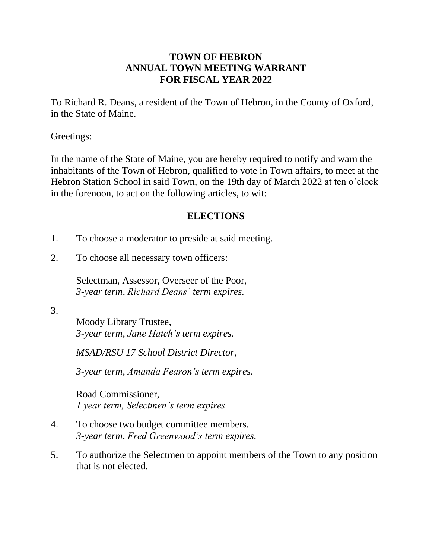## **TOWN OF HEBRON ANNUAL TOWN MEETING WARRANT FOR FISCAL YEAR 2022**

To Richard R. Deans, a resident of the Town of Hebron, in the County of Oxford, in the State of Maine.

Greetings:

In the name of the State of Maine, you are hereby required to notify and warn the inhabitants of the Town of Hebron, qualified to vote in Town affairs, to meet at the Hebron Station School in said Town, on the 19th day of March 2022 at ten o'clock in the forenoon, to act on the following articles, to wit:

## **ELECTIONS**

- 1. To choose a moderator to preside at said meeting.
- 2. To choose all necessary town officers:

Selectman, Assessor, Overseer of the Poor, *3-year term, Richard Deans' term expires.*

3.

Moody Library Trustee, *3-year term, Jane Hatch's term expires.*

*MSAD/RSU 17 School District Director,*

*3-year term, Amanda Fearon's term expires.*

Road Commissioner, *1 year term, Selectmen's term expires.*

- 4. To choose two budget committee members. *3-year term, Fred Greenwood's term expires.*
- 5. To authorize the Selectmen to appoint members of the Town to any position that is not elected.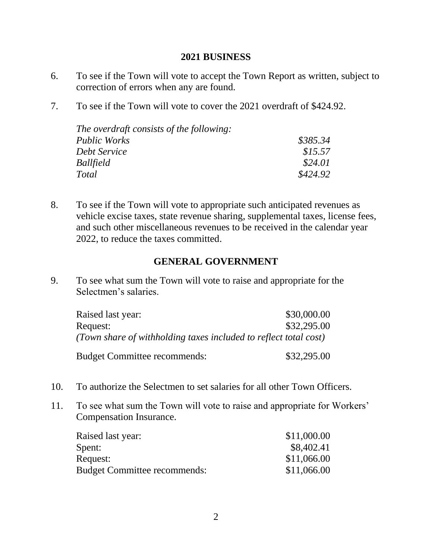#### **2021 BUSINESS**

- 6. To see if the Town will vote to accept the Town Report as written, subject to correction of errors when any are found.
- 7. To see if the Town will vote to cover the 2021 overdraft of \$424.92.

| \$385.34 |
|----------|
| \$15.57  |
| \$24.01  |
| \$424.92 |
|          |

8. To see if the Town will vote to appropriate such anticipated revenues as vehicle excise taxes, state revenue sharing, supplemental taxes, license fees, and such other miscellaneous revenues to be received in the calendar year 2022, to reduce the taxes committed.

## **GENERAL GOVERNMENT**

9. To see what sum the Town will vote to raise and appropriate for the Selectmen's salaries.

| Raised last year:                                                | \$30,000.00 |
|------------------------------------------------------------------|-------------|
| Request:                                                         | \$32,295.00 |
| (Town share of withholding taxes included to reflect total cost) |             |
|                                                                  |             |

Budget Committee recommends: \$32,295.00

- 10. To authorize the Selectmen to set salaries for all other Town Officers.
- 11. To see what sum the Town will vote to raise and appropriate for Workers' Compensation Insurance.

| Raised last year:                   | \$11,000.00 |
|-------------------------------------|-------------|
| Spent:                              | \$8,402.41  |
| Request:                            | \$11,066.00 |
| <b>Budget Committee recommends:</b> | \$11,066.00 |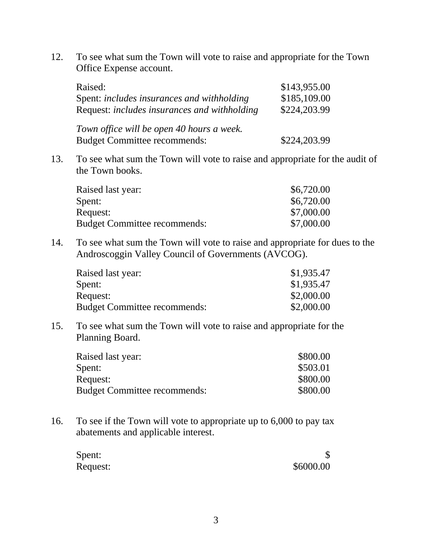12. To see what sum the Town will vote to raise and appropriate for the Town Office Expense account.

| Raised:                                                                          | \$143,955.00 |
|----------------------------------------------------------------------------------|--------------|
| Spent: includes insurances and withholding                                       | \$185,109.00 |
| Request: includes insurances and withholding                                     | \$224,203.99 |
| Town office will be open 40 hours a week.<br><b>Budget Committee recommends:</b> | \$224,203.99 |

13. To see what sum the Town will vote to raise and appropriate for the audit of the Town books.

| Raised last year:                   | \$6,720.00 |
|-------------------------------------|------------|
| Spent:                              | \$6,720.00 |
| Request:                            | \$7,000.00 |
| <b>Budget Committee recommends:</b> | \$7,000.00 |

14. To see what sum the Town will vote to raise and appropriate for dues to the Androscoggin Valley Council of Governments (AVCOG).

| Raised last year:                   | \$1,935.47 |
|-------------------------------------|------------|
| Spent:                              | \$1,935.47 |
| Request:                            | \$2,000.00 |
| <b>Budget Committee recommends:</b> | \$2,000.00 |

15. To see what sum the Town will vote to raise and appropriate for the Planning Board.

| Raised last year:                   | \$800.00 |
|-------------------------------------|----------|
| Spent:                              | \$503.01 |
| Request:                            | \$800.00 |
| <b>Budget Committee recommends:</b> | \$800.00 |
|                                     |          |

16. To see if the Town will vote to appropriate up to 6,000 to pay tax abatements and applicable interest.

| Spent:   |           |
|----------|-----------|
| Request: | \$6000.00 |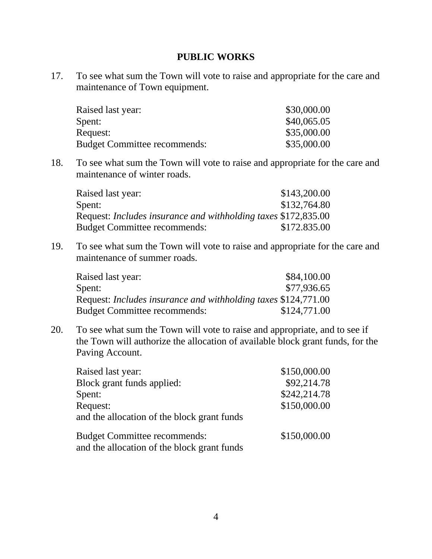### **PUBLIC WORKS**

17. To see what sum the Town will vote to raise and appropriate for the care and maintenance of Town equipment.

| Raised last year:                   | \$30,000.00 |
|-------------------------------------|-------------|
| Spent:                              | \$40,065.05 |
| Request:                            | \$35,000.00 |
| <b>Budget Committee recommends:</b> | \$35,000.00 |

18. To see what sum the Town will vote to raise and appropriate for the care and maintenance of winter roads.

| Raised last year:                                              | \$143,200.00 |
|----------------------------------------------------------------|--------------|
| Spent:                                                         | \$132,764.80 |
| Request: Includes insurance and withholding taxes \$172,835.00 |              |
| <b>Budget Committee recommends:</b>                            | \$172.835.00 |

19. To see what sum the Town will vote to raise and appropriate for the care and maintenance of summer roads.

| Raised last year:                                                     | \$84,100.00  |
|-----------------------------------------------------------------------|--------------|
| Spent:                                                                | \$77,936.65  |
| Request: <i>Includes insurance and withholding taxes</i> \$124,771.00 |              |
| <b>Budget Committee recommends:</b>                                   | \$124,771.00 |

20. To see what sum the Town will vote to raise and appropriate, and to see if the Town will authorize the allocation of available block grant funds, for the Paving Account.

| Raised last year:                           | \$150,000.00 |
|---------------------------------------------|--------------|
| Block grant funds applied:                  | \$92,214.78  |
| Spent:                                      | \$242,214.78 |
| Request:                                    | \$150,000.00 |
| and the allocation of the block grant funds |              |
| <b>Budget Committee recommends:</b>         | \$150,000.00 |
| and the allocation of the block grant funds |              |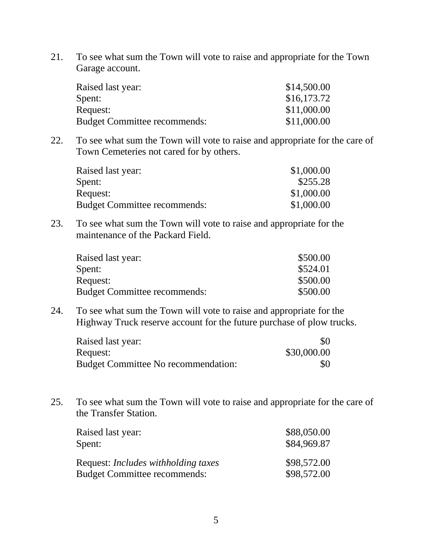21. To see what sum the Town will vote to raise and appropriate for the Town Garage account.

| Raised last year:                   | \$14,500.00 |
|-------------------------------------|-------------|
| Spent:                              | \$16,173.72 |
| Request:                            | \$11,000.00 |
| <b>Budget Committee recommends:</b> | \$11,000.00 |

22. To see what sum the Town will vote to raise and appropriate for the care of Town Cemeteries not cared for by others.

| \$1,000.00 |
|------------|
| \$255.28   |
| \$1,000.00 |
| \$1,000.00 |
|            |

23. To see what sum the Town will vote to raise and appropriate for the maintenance of the Packard Field.

| Raised last year:                   | \$500.00 |
|-------------------------------------|----------|
| Spent:                              | \$524.01 |
| Request:                            | \$500.00 |
| <b>Budget Committee recommends:</b> | \$500.00 |

24. To see what sum the Town will vote to raise and appropriate for the Highway Truck reserve account for the future purchase of plow trucks.

| Raised last year:                          | \$0         |
|--------------------------------------------|-------------|
| Request:                                   | \$30,000.00 |
| <b>Budget Committee No recommendation:</b> | \$0         |

25. To see what sum the Town will vote to raise and appropriate for the care of the Transfer Station.

| Raised last year:                          | \$88,050.00 |
|--------------------------------------------|-------------|
| Spent:                                     | \$84,969.87 |
| Request: <i>Includes withholding taxes</i> | \$98,572.00 |
| <b>Budget Committee recommends:</b>        | \$98,572.00 |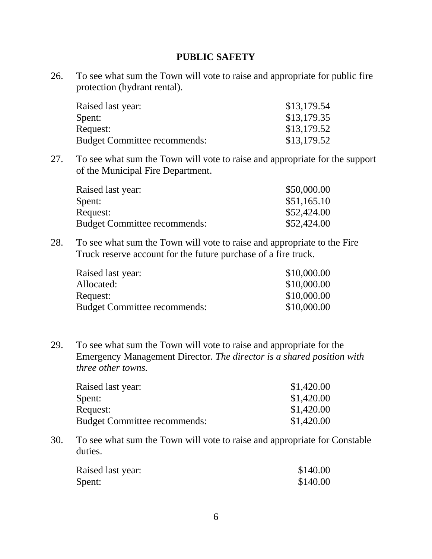### **PUBLIC SAFETY**

26. To see what sum the Town will vote to raise and appropriate for public fire protection (hydrant rental).

| Raised last year:                   | \$13,179.54 |
|-------------------------------------|-------------|
| Spent:                              | \$13,179.35 |
| Request:                            | \$13,179.52 |
| <b>Budget Committee recommends:</b> | \$13,179.52 |

27. To see what sum the Town will vote to raise and appropriate for the support of the Municipal Fire Department.

| Raised last year:                   | \$50,000.00 |
|-------------------------------------|-------------|
| Spent:                              | \$51,165.10 |
| Request:                            | \$52,424.00 |
| <b>Budget Committee recommends:</b> | \$52,424.00 |

28. To see what sum the Town will vote to raise and appropriate to the Fire Truck reserve account for the future purchase of a fire truck.

| \$10,000.00 |
|-------------|
| \$10,000.00 |
| \$10,000.00 |
| \$10,000.00 |
|             |

29. To see what sum the Town will vote to raise and appropriate for the Emergency Management Director. *The director is a shared position with three other towns.*

| Raised last year:                   | \$1,420.00 |
|-------------------------------------|------------|
| Spent:                              | \$1,420.00 |
| Request:                            | \$1,420.00 |
| <b>Budget Committee recommends:</b> | \$1,420.00 |

30. To see what sum the Town will vote to raise and appropriate for Constable duties.

| Raised last year: | \$140.00 |
|-------------------|----------|
| Spent:            | \$140.00 |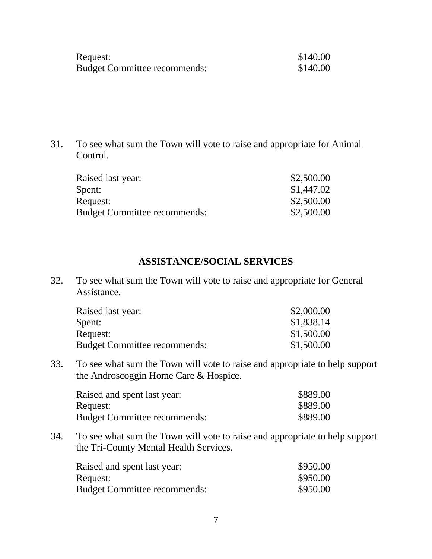| Request:                            | \$140.00 |
|-------------------------------------|----------|
| <b>Budget Committee recommends:</b> | \$140.00 |

31. To see what sum the Town will vote to raise and appropriate for Animal Control.

| Raised last year:                   | \$2,500.00 |
|-------------------------------------|------------|
| Spent:                              | \$1,447.02 |
| Request:                            | \$2,500.00 |
| <b>Budget Committee recommends:</b> | \$2,500.00 |

# **ASSISTANCE/SOCIAL SERVICES**

32. To see what sum the Town will vote to raise and appropriate for General Assistance.

| \$2,000.00 |
|------------|
| \$1,838.14 |
| \$1,500.00 |
| \$1,500.00 |
|            |

33. To see what sum the Town will vote to raise and appropriate to help support the Androscoggin Home Care & Hospice.

| Raised and spent last year:         | \$889.00 |
|-------------------------------------|----------|
| Request:                            | \$889.00 |
| <b>Budget Committee recommends:</b> | \$889.00 |

34. To see what sum the Town will vote to raise and appropriate to help support the Tri-County Mental Health Services.

| Raised and spent last year:         | \$950.00 |
|-------------------------------------|----------|
| Request:                            | \$950.00 |
| <b>Budget Committee recommends:</b> | \$950.00 |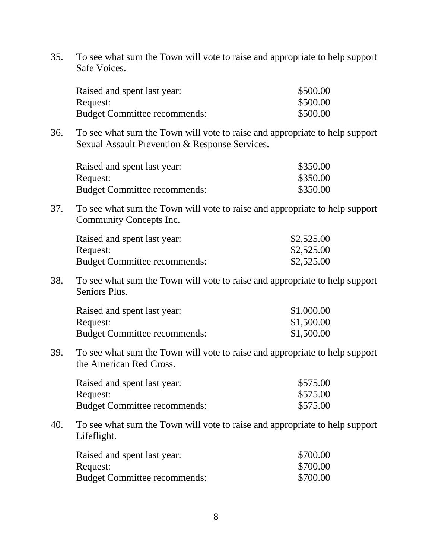35. To see what sum the Town will vote to raise and appropriate to help support Safe Voices.

| Raised and spent last year:         | \$500.00 |
|-------------------------------------|----------|
| Request:                            | \$500.00 |
| <b>Budget Committee recommends:</b> | \$500.00 |

36. To see what sum the Town will vote to raise and appropriate to help support Sexual Assault Prevention & Response Services.

| Raised and spent last year:         | \$350.00 |
|-------------------------------------|----------|
| Request:                            | \$350.00 |
| <b>Budget Committee recommends:</b> | \$350.00 |

37. To see what sum the Town will vote to raise and appropriate to help support Community Concepts Inc.

| Raised and spent last year:         | \$2,525.00 |
|-------------------------------------|------------|
| Request:                            | \$2,525.00 |
| <b>Budget Committee recommends:</b> | \$2,525.00 |

38. To see what sum the Town will vote to raise and appropriate to help support Seniors Plus.

| Raised and spent last year:         | \$1,000.00 |
|-------------------------------------|------------|
| Request:                            | \$1,500.00 |
| <b>Budget Committee recommends:</b> | \$1,500.00 |

39. To see what sum the Town will vote to raise and appropriate to help support the American Red Cross.

| Raised and spent last year:         | \$575.00 |
|-------------------------------------|----------|
| Request:                            | \$575.00 |
| <b>Budget Committee recommends:</b> | \$575.00 |

40. To see what sum the Town will vote to raise and appropriate to help support Lifeflight.

| Raised and spent last year:         | \$700.00 |
|-------------------------------------|----------|
| Request:                            | \$700.00 |
| <b>Budget Committee recommends:</b> | \$700.00 |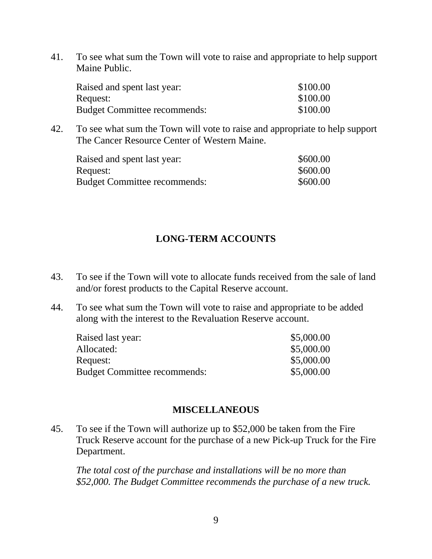41. To see what sum the Town will vote to raise and appropriate to help support Maine Public.

| Raised and spent last year:         | \$100.00 |
|-------------------------------------|----------|
| Request:                            | \$100.00 |
| <b>Budget Committee recommends:</b> | \$100.00 |

42. To see what sum the Town will vote to raise and appropriate to help support The Cancer Resource Center of Western Maine.

| Raised and spent last year:         | \$600.00 |
|-------------------------------------|----------|
| Request:                            | \$600.00 |
| <b>Budget Committee recommends:</b> | \$600.00 |

## **LONG-TERM ACCOUNTS**

- 43. To see if the Town will vote to allocate funds received from the sale of land and/or forest products to the Capital Reserve account.
- 44. To see what sum the Town will vote to raise and appropriate to be added along with the interest to the Revaluation Reserve account.

| \$5,000.00 |
|------------|
| \$5,000.00 |
| \$5,000.00 |
| \$5,000.00 |
|            |

### **MISCELLANEOUS**

45. To see if the Town will authorize up to \$52,000 be taken from the Fire Truck Reserve account for the purchase of a new Pick-up Truck for the Fire Department.

*The total cost of the purchase and installations will be no more than \$52,000. The Budget Committee recommends the purchase of a new truck.*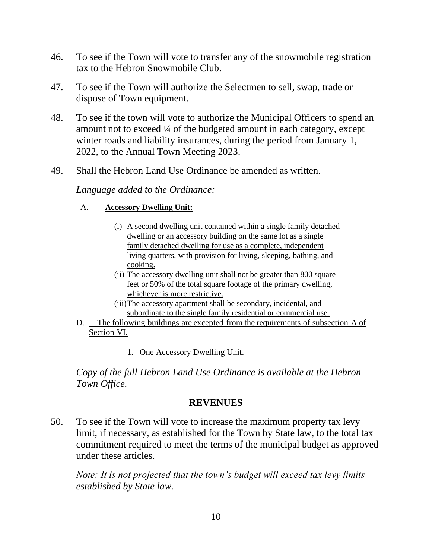- 46. To see if the Town will vote to transfer any of the snowmobile registration tax to the Hebron Snowmobile Club.
- 47. To see if the Town will authorize the Selectmen to sell, swap, trade or dispose of Town equipment.
- 48. To see if the town will vote to authorize the Municipal Officers to spend an amount not to exceed ¼ of the budgeted amount in each category, except winter roads and liability insurances, during the period from January 1, 2022, to the Annual Town Meeting 2023.
- 49. Shall the Hebron Land Use Ordinance be amended as written.

*Language added to the Ordinance:*

### A. **Accessory Dwelling Unit:**

- (i) A second dwelling unit contained within a single family detached dwelling or an accessory building on the same lot as a single family detached dwelling for use as a complete, independent living quarters, with provision for living, sleeping, bathing, and cooking.
- (ii) The accessory dwelling unit shall not be greater than 800 square feet or 50% of the total square footage of the primary dwelling, whichever is more restrictive.
- (iii)The accessory apartment shall be secondary, incidental, and subordinate to the single family residential or commercial use.
- D. The following buildings are excepted from the requirements of subsection A of Section VI.
	- 1. One Accessory Dwelling Unit.

*Copy of the full Hebron Land Use Ordinance is available at the Hebron Town Office.*

## **REVENUES**

50. To see if the Town will vote to increase the maximum property tax levy limit, if necessary, as established for the Town by State law, to the total tax commitment required to meet the terms of the municipal budget as approved under these articles.

*Note: It is not projected that the town's budget will exceed tax levy limits established by State law.*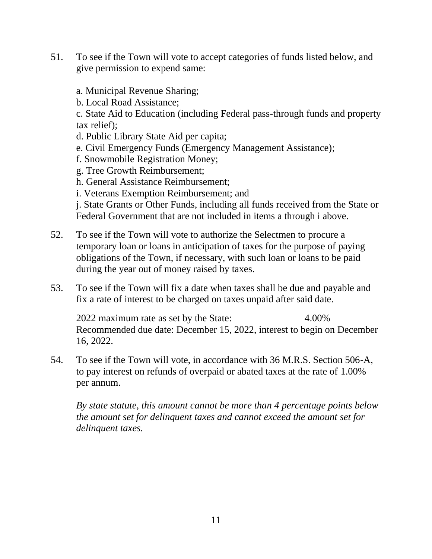- 51. To see if the Town will vote to accept categories of funds listed below, and give permission to expend same:
	- a. Municipal Revenue Sharing;
	- b. Local Road Assistance;

c. State Aid to Education (including Federal pass-through funds and property tax relief);

- d. Public Library State Aid per capita;
- e. Civil Emergency Funds (Emergency Management Assistance);
- f. Snowmobile Registration Money;
- g. Tree Growth Reimbursement;
- h. General Assistance Reimbursement;
- i. Veterans Exemption Reimbursement; and

j. State Grants or Other Funds, including all funds received from the State or Federal Government that are not included in items a through i above.

- 52. To see if the Town will vote to authorize the Selectmen to procure a temporary loan or loans in anticipation of taxes for the purpose of paying obligations of the Town, if necessary, with such loan or loans to be paid during the year out of money raised by taxes.
- 53. To see if the Town will fix a date when taxes shall be due and payable and fix a rate of interest to be charged on taxes unpaid after said date.

2022 maximum rate as set by the State: 4.00% Recommended due date: December 15, 2022, interest to begin on December 16, 2022.

54. To see if the Town will vote, in accordance with 36 M.R.S. Section 506-A, to pay interest on refunds of overpaid or abated taxes at the rate of 1.00% per annum.

*By state statute, this amount cannot be more than 4 percentage points below the amount set for delinquent taxes and cannot exceed the amount set for delinquent taxes.*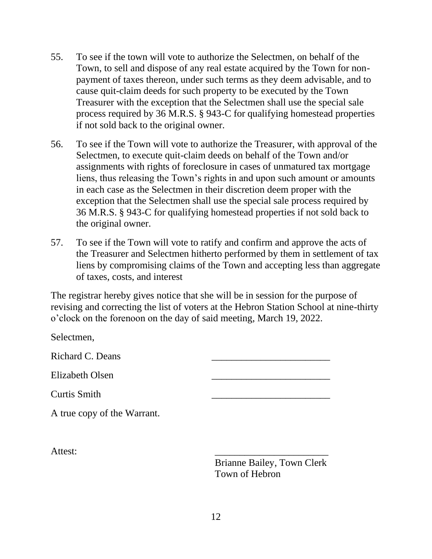- 55. To see if the town will vote to authorize the Selectmen, on behalf of the Town, to sell and dispose of any real estate acquired by the Town for nonpayment of taxes thereon, under such terms as they deem advisable, and to cause quit-claim deeds for such property to be executed by the Town Treasurer with the exception that the Selectmen shall use the special sale process required by 36 M.R.S. § 943-C for qualifying homestead properties if not sold back to the original owner.
- 56. To see if the Town will vote to authorize the Treasurer, with approval of the Selectmen, to execute quit-claim deeds on behalf of the Town and/or assignments with rights of foreclosure in cases of unmatured tax mortgage liens, thus releasing the Town's rights in and upon such amount or amounts in each case as the Selectmen in their discretion deem proper with the exception that the Selectmen shall use the special sale process required by 36 M.R.S. § 943-C for qualifying homestead properties if not sold back to the original owner.
- 57. To see if the Town will vote to ratify and confirm and approve the acts of the Treasurer and Selectmen hitherto performed by them in settlement of tax liens by compromising claims of the Town and accepting less than aggregate of taxes, costs, and interest

The registrar hereby gives notice that she will be in session for the purpose of revising and correcting the list of voters at the Hebron Station School at nine-thirty o'clock on the forenoon on the day of said meeting, March 19, 2022.

| Selectmen,                  |                                   |
|-----------------------------|-----------------------------------|
| Richard C. Deans            |                                   |
| Elizabeth Olsen             |                                   |
| <b>Curtis Smith</b>         |                                   |
| A true copy of the Warrant. |                                   |
|                             |                                   |
| Attest:                     |                                   |
|                             | <b>Brianne Bailey, Town Clerk</b> |

Town of Hebron